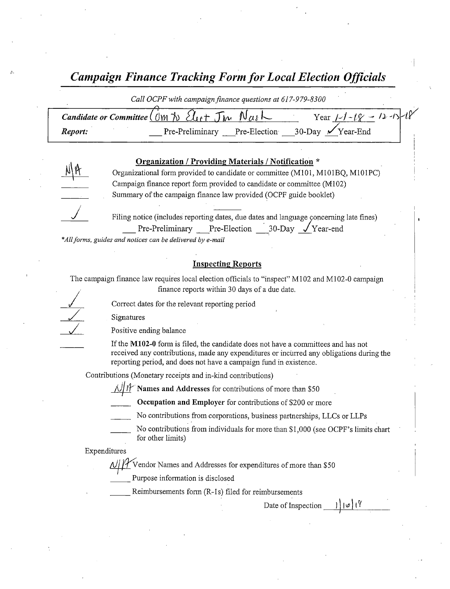Campaign Finance Tracking Form for Local Election Officials

|         | Call OCPF with campaign finance questions at 617-979-8300                                                                                                          |                            |
|---------|--------------------------------------------------------------------------------------------------------------------------------------------------------------------|----------------------------|
|         | Candidate or Committee ( $0 \mathsf{m} \land \mathsf{M}$ $\mathsf{M}_{\mathsf{c}}$ + $\mathsf{J}_{\mathsf{m}}$ $\mathsf{M}_{\mathsf{a}}$ $\mathsf{M}_{\mathsf{c}}$ | Year $1-1-18 = 12-15-18$   |
| Report: | Pre-Preliminary Pre-Election                                                                                                                                       | 30-Day $\sqrt{Y}$ Year-End |
|         |                                                                                                                                                                    |                            |

#### Organization / Providing Materials / Notification \*

Organizational form provided to candidate or committee (M101, M101BQ, M101PC) Campaign finance report form provided to candidate or committee( M102) Summary of the campaign finance law provided( OCPF guide booklet)

 $\sqrt{\phantom{a}}$  Filing notice (includes reporting dates, due dates and language concerning late fines) Pre-Preliminary Pre-Election 30-Day <u>V</u>Year-end

\*All forms, guides and notices can be delivered by e-mail

#### Inspecting Reports

The campaign finance law requires local election officials to "inspect" M102 and M102-0 campaign finance reports within 30 days of <sup>a</sup> due date.

Correct dates for the relevant reporting period

Signatures

Positive ending balance

If the M102-0 form is filed, the candidate does not have a committees and has not received any contributions, made any expenditures or incurred any obligations during the reporting period, and does not have a campaign fund in existence.

Contributions (Monetary receipts and in-kind contributions)

 $\frac{1}{4}$  Names and Addresses for contributions of more than \$50

Occupation and Employer for contributions of \$200 or more

- No contributions from corporations, business partnerships, LLCs or LLPs
- No contributions from individuals for more than  $$1,000$  (see OCPF's limits chart for other limits)

Expenditures/

 $\frac{1}{2}$  Vendor Names and Addresses for expenditures of more than \$50

Purpose information is disclosed

Reimbursements form (R-1s) filed for reimbursements

 $Date of Inspection$   $||\psi||$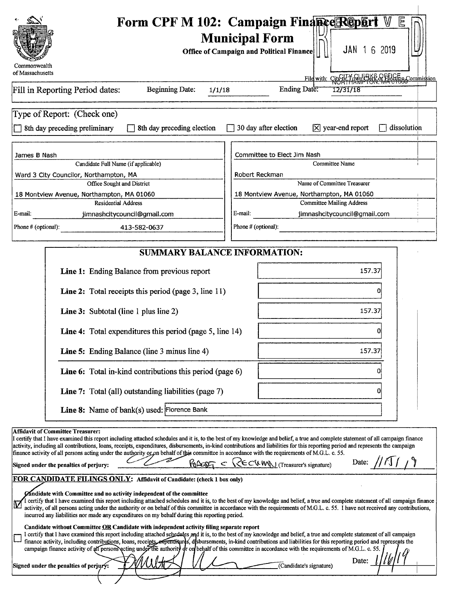| Form CPF M 102: Campaign Finance Repart<br>₩<br>旧<br><b>Municipal Form</b><br>JAN 1 6 2019<br><b>Office of Campaign and Political Finance</b>                                                                                                                                                                                                                                                                                                                                                                                                                                                                                                                                                                                                             |
|-----------------------------------------------------------------------------------------------------------------------------------------------------------------------------------------------------------------------------------------------------------------------------------------------------------------------------------------------------------------------------------------------------------------------------------------------------------------------------------------------------------------------------------------------------------------------------------------------------------------------------------------------------------------------------------------------------------------------------------------------------------|
| Commonwealth<br>of Massachusetts<br>File with: City of Town The & Fielding Commission                                                                                                                                                                                                                                                                                                                                                                                                                                                                                                                                                                                                                                                                     |
| Ending Date:<br>Fill in Reporting Period dates:<br><b>Beginning Date:</b><br>1/1/18<br>12/31/18                                                                                                                                                                                                                                                                                                                                                                                                                                                                                                                                                                                                                                                           |
| Type of Report: (Check one)<br>30 day after election<br>$[\overline{X}]$ year-end report<br>dissolution<br>8th day preceding preliminary<br>8th day preceding election                                                                                                                                                                                                                                                                                                                                                                                                                                                                                                                                                                                    |
| Committee to Elect Jim Nash<br>James B Nash                                                                                                                                                                                                                                                                                                                                                                                                                                                                                                                                                                                                                                                                                                               |
| Candidate Full Name (if applicable)<br>Committee Name<br>Ward 3 City Councilor, Northampton, MA<br>Robert Reckman                                                                                                                                                                                                                                                                                                                                                                                                                                                                                                                                                                                                                                         |
| Name of Committee Treasurer<br>Office Sought and District                                                                                                                                                                                                                                                                                                                                                                                                                                                                                                                                                                                                                                                                                                 |
| 18 Montview Avenue, Northampton, MA 01060<br>18 Montview Avenue, Northampton, MA 01060                                                                                                                                                                                                                                                                                                                                                                                                                                                                                                                                                                                                                                                                    |
| <b>Committee Mailing Address</b><br><b>Residential Address</b><br>E-mail:<br>E-mail:<br>jimnashcitycouncil@gmail.com<br>jimnashcitycouncil@gmail.com                                                                                                                                                                                                                                                                                                                                                                                                                                                                                                                                                                                                      |
| Phone # (optional):<br>Phone # (optional):<br>413-582-0637                                                                                                                                                                                                                                                                                                                                                                                                                                                                                                                                                                                                                                                                                                |
| <b>SUMMARY BALANCE INFORMATION:</b>                                                                                                                                                                                                                                                                                                                                                                                                                                                                                                                                                                                                                                                                                                                       |
| Line 1: Ending Balance from previous report<br>157.37                                                                                                                                                                                                                                                                                                                                                                                                                                                                                                                                                                                                                                                                                                     |
| Line 2: Total receipts this period (page 3, line 11)                                                                                                                                                                                                                                                                                                                                                                                                                                                                                                                                                                                                                                                                                                      |
| Line 3: Subtotal (line 1 plus line 2)<br>157.37                                                                                                                                                                                                                                                                                                                                                                                                                                                                                                                                                                                                                                                                                                           |
| Line 4: Total expenditures this period (page 5, line 14)                                                                                                                                                                                                                                                                                                                                                                                                                                                                                                                                                                                                                                                                                                  |
| Line 5: Ending Balance (line 3 minus line 4)<br>157.37                                                                                                                                                                                                                                                                                                                                                                                                                                                                                                                                                                                                                                                                                                    |
| Line 6: Total in-kind contributions this period (page 6)                                                                                                                                                                                                                                                                                                                                                                                                                                                                                                                                                                                                                                                                                                  |
| <b>Line 7:</b> Total (all) outstanding liabilities (page 7)<br>O                                                                                                                                                                                                                                                                                                                                                                                                                                                                                                                                                                                                                                                                                          |
| Line 8: Name of bank(s) used: Florence Bank                                                                                                                                                                                                                                                                                                                                                                                                                                                                                                                                                                                                                                                                                                               |
| <b>Affidavit of Committee Treasurer:</b><br>I certify that I have examined this report including attached schedules and it is, to the best of my knowledge and belief, a true and complete statement of all campaign finance<br>activity, including all contributions, loans, receipts, expenditures, disbursements, in-kind contributions and liabilities for this reporting period and represents the campaign<br>finance activity of all persons acting under the authority or on behalf of this committee in accordance with the requirements of M.G.L. c. 55.<br>$R_{\text{A}} = \text{RECHMM}$ (Treasurer's signature)<br>Date:<br>Signed under the penalties of perjury:<br>FOR CANDIDATE FILINGS ONLY: Affidavit of Candidate: (check 1 box only) |
| Candidate with Committee and no activity independent of the committee<br>I certify that I have examined this report including attached schedules and it is, to the best of my knowledge and belief, a true and complete statement of all campaign finance<br>activity, of all persons acting under the authority or on behalf of this committee in accordance with the requirements of M.G.L. c. 55. I have not received any contributions,<br>incurred any liabilities nor made any expenditures on my behalf during this reporting period.                                                                                                                                                                                                              |
| Candidate without Committee OR Candidate with independent activity filing separate report<br>I certify that I have examined this report including attached schedules and it is, to the best of my knowledge and belief, a true and complete statement of all campaign<br>finance activity, including contributions, loans, receipts, expenditures, disbursements, in-kind contributions and liabilities for this reporting period and represents the<br>campaign finance activity of an persons acting under the authority or on behalf of this committee in accordance with the requirements of M.G.L. c. 55.<br>Date:<br>Signed under the penalties of perjury:<br>(Candidate's signature)                                                              |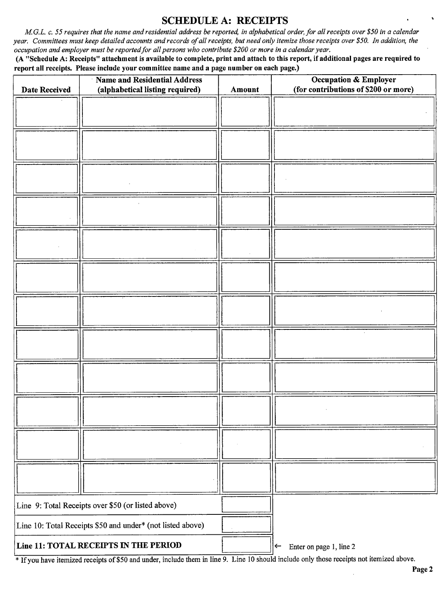### SCHEDULE A: RECEIPTS

M.G.L. c. 55 requires that the name and residential address be reported, in alphabetical order, for all receipts over \$50 in a calendar year. Committees must keep detailed accounts and records of all receipts, but need only itemize those receipts over \$50. In addition, the occupation and employer must be reported for all persons who contribute \$200 or more in a calendar year.

A" Schedule A: Receipts" attachment is available to complete, print and attach to this report, if additional pages are required to report all receipts. Please include your committee name and a page number on each page.)

| Name and Residential Address<br>(alphabetical listing required)<br><b>Date Received</b> |  | Amount | <b>Occupation &amp; Employer</b><br>(for contributions of \$200 or more) |  |
|-----------------------------------------------------------------------------------------|--|--------|--------------------------------------------------------------------------|--|
|                                                                                         |  |        |                                                                          |  |
|                                                                                         |  |        |                                                                          |  |
|                                                                                         |  |        |                                                                          |  |
|                                                                                         |  |        |                                                                          |  |
|                                                                                         |  |        |                                                                          |  |
|                                                                                         |  |        |                                                                          |  |
|                                                                                         |  |        |                                                                          |  |
|                                                                                         |  |        |                                                                          |  |
|                                                                                         |  |        |                                                                          |  |
|                                                                                         |  |        |                                                                          |  |
|                                                                                         |  |        |                                                                          |  |
|                                                                                         |  |        |                                                                          |  |
| Line 9: Total Receipts over \$50 (or listed above)                                      |  |        |                                                                          |  |
| Line 10: Total Receipts \$50 and under* (not listed above)                              |  |        |                                                                          |  |
| Line 11: TOTAL RECEIPTS IN THE PERIOD                                                   |  |        | Enter on page 1, line 2<br>$\leftarrow$                                  |  |

<sup>\*</sup> If you have itemized receipts of \$50 and under, include them in line 9. Line 10 should include only those receipts not itemized above.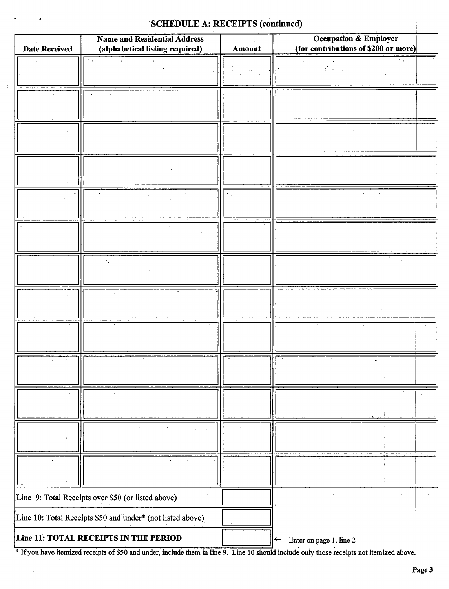### SCHEDULE A: RECEIPTS (continued)

 $\bar{\epsilon}$ 

 $\mathcal{F}_{\mathcal{A}}$ 

| <b>Date Received</b>                  | <b>Name and Residential Address</b><br>(alphabetical listing required) | Amount | <b>Occupation &amp; Employer</b><br>(for contributions of \$200 or more) |
|---------------------------------------|------------------------------------------------------------------------|--------|--------------------------------------------------------------------------|
|                                       | ÷.<br>$\mathbf{r} = \mathbf{r}$                                        |        | ۰.                                                                       |
|                                       |                                                                        |        | $\mathcal{E}(\mathbf{x} \in \mathcal{X})$                                |
|                                       |                                                                        |        |                                                                          |
|                                       |                                                                        |        |                                                                          |
|                                       |                                                                        |        |                                                                          |
|                                       |                                                                        |        |                                                                          |
|                                       |                                                                        |        |                                                                          |
|                                       |                                                                        |        |                                                                          |
|                                       |                                                                        |        |                                                                          |
|                                       |                                                                        |        |                                                                          |
|                                       |                                                                        |        |                                                                          |
|                                       |                                                                        |        |                                                                          |
|                                       |                                                                        |        |                                                                          |
|                                       |                                                                        |        |                                                                          |
|                                       | Line 9: Total Receipts over \$50 (or listed above)                     |        |                                                                          |
|                                       | Line 10: Total Receipts \$50 and under* (not listed above)             |        |                                                                          |
| Line 11: TOTAL RECEIPTS IN THE PERIOD |                                                                        |        | Enter on page 1, line 2<br>$\leftarrow$                                  |

Ifyou have itemized receipts of\$50 and under, include them in line 9. Line <sup>10</sup> should include only those receipts not itemized above.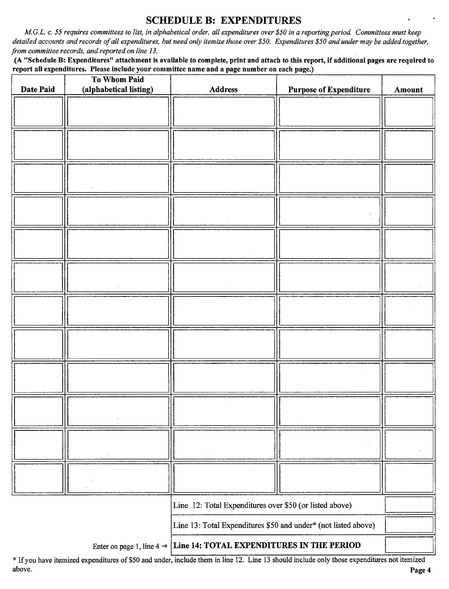### SCHEDULE B: EXPENDITURES

M.G.L. c. 55 requires committees to list, in alphabetical order, all expenditures over \$50 in a reporting period. Committees must keep detailed accounts and records of all expenditures, but need only itemize those over \$50. Expenditures \$50 and under may be added together, from committee records, and reported on line 13.

A" Schedule B: Expenditures" attachment is available to complete, print and attach to this report, if additional pages are required to report all expenditures. Please include your committee name and a page number on each page.)

|                                                                                 | To Whom Paid           |                                                                |                               |        |
|---------------------------------------------------------------------------------|------------------------|----------------------------------------------------------------|-------------------------------|--------|
| Date Paid                                                                       | (alphabetical listing) | <b>Address</b>                                                 | <b>Purpose of Expenditure</b> | Amount |
|                                                                                 |                        |                                                                |                               |        |
|                                                                                 |                        |                                                                |                               |        |
|                                                                                 |                        |                                                                |                               |        |
|                                                                                 |                        |                                                                |                               |        |
|                                                                                 |                        |                                                                |                               |        |
|                                                                                 |                        |                                                                |                               |        |
|                                                                                 |                        |                                                                |                               |        |
|                                                                                 |                        |                                                                |                               |        |
|                                                                                 |                        |                                                                |                               |        |
|                                                                                 |                        |                                                                |                               |        |
|                                                                                 |                        |                                                                |                               |        |
|                                                                                 |                        |                                                                |                               |        |
|                                                                                 |                        |                                                                |                               |        |
|                                                                                 |                        |                                                                |                               |        |
|                                                                                 |                        |                                                                |                               |        |
|                                                                                 |                        |                                                                |                               |        |
|                                                                                 |                        |                                                                |                               |        |
|                                                                                 |                        |                                                                |                               |        |
|                                                                                 |                        |                                                                |                               |        |
|                                                                                 |                        |                                                                |                               |        |
|                                                                                 |                        |                                                                |                               |        |
|                                                                                 |                        |                                                                |                               |        |
|                                                                                 |                        |                                                                |                               |        |
|                                                                                 |                        |                                                                |                               |        |
|                                                                                 |                        |                                                                |                               |        |
|                                                                                 |                        |                                                                |                               |        |
|                                                                                 |                        |                                                                |                               |        |
|                                                                                 |                        |                                                                |                               |        |
|                                                                                 |                        |                                                                |                               |        |
|                                                                                 |                        |                                                                |                               |        |
|                                                                                 |                        |                                                                |                               |        |
|                                                                                 |                        |                                                                |                               |        |
|                                                                                 |                        |                                                                |                               |        |
|                                                                                 |                        |                                                                |                               |        |
|                                                                                 |                        | Line 12: Total Expenditures over \$50 (or listed above)        |                               |        |
|                                                                                 |                        | Line 13: Total Expenditures \$50 and under* (not listed above) |                               |        |
| Enter on page 1, line $4 \rightarrow$ Line 14: TOTAL EXPENDITURES IN THE PERIOD |                        |                                                                |                               |        |

Ifyou have itemized expenditures of\$50 and under, include them in line 12. Line <sup>13</sup> should include only those expenditures not itemized above. Page 4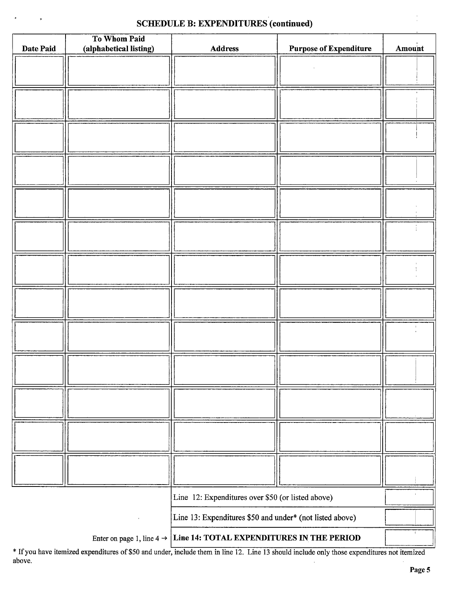### SCHEDULE R: EXPENDITURES (continued)

|                                                                                 | To Whom Paid                                             |                                                   |                               |        |
|---------------------------------------------------------------------------------|----------------------------------------------------------|---------------------------------------------------|-------------------------------|--------|
| Date Paid                                                                       | (alphabetical listing)                                   | <b>Address</b>                                    | <b>Purpose of Expenditure</b> | Amount |
|                                                                                 |                                                          |                                                   |                               |        |
|                                                                                 |                                                          |                                                   |                               |        |
|                                                                                 |                                                          |                                                   |                               |        |
|                                                                                 |                                                          |                                                   |                               |        |
|                                                                                 |                                                          |                                                   |                               |        |
|                                                                                 |                                                          |                                                   |                               |        |
|                                                                                 |                                                          |                                                   |                               |        |
|                                                                                 |                                                          |                                                   |                               |        |
|                                                                                 |                                                          |                                                   |                               |        |
|                                                                                 |                                                          |                                                   |                               |        |
|                                                                                 |                                                          |                                                   |                               |        |
|                                                                                 |                                                          |                                                   |                               |        |
|                                                                                 |                                                          |                                                   |                               |        |
|                                                                                 |                                                          |                                                   |                               |        |
|                                                                                 |                                                          |                                                   |                               |        |
|                                                                                 |                                                          |                                                   |                               |        |
|                                                                                 |                                                          |                                                   |                               |        |
|                                                                                 |                                                          |                                                   |                               |        |
|                                                                                 |                                                          |                                                   |                               |        |
|                                                                                 |                                                          |                                                   |                               |        |
|                                                                                 |                                                          |                                                   |                               |        |
|                                                                                 |                                                          |                                                   |                               |        |
|                                                                                 |                                                          |                                                   |                               |        |
|                                                                                 |                                                          |                                                   |                               |        |
|                                                                                 |                                                          |                                                   |                               |        |
|                                                                                 |                                                          |                                                   |                               |        |
|                                                                                 |                                                          |                                                   |                               |        |
|                                                                                 |                                                          |                                                   |                               |        |
|                                                                                 |                                                          |                                                   |                               |        |
|                                                                                 |                                                          |                                                   |                               |        |
|                                                                                 |                                                          |                                                   |                               |        |
|                                                                                 |                                                          |                                                   |                               |        |
|                                                                                 |                                                          |                                                   |                               |        |
|                                                                                 |                                                          |                                                   |                               |        |
|                                                                                 |                                                          |                                                   |                               |        |
|                                                                                 |                                                          |                                                   |                               |        |
|                                                                                 |                                                          |                                                   |                               |        |
|                                                                                 |                                                          |                                                   |                               |        |
|                                                                                 |                                                          |                                                   |                               |        |
|                                                                                 |                                                          | Line 12: Expenditures over \$50 (or listed above) |                               |        |
|                                                                                 |                                                          |                                                   |                               |        |
|                                                                                 | Line 13: Expenditures \$50 and under* (not listed above) |                                                   |                               |        |
| Enter on page 1, line $4 \rightarrow$ Line 14: TOTAL EXPENDITURES IN THE PERIOD |                                                          |                                                   |                               |        |

If you have itemized expenditures of\$50 and under, include them in line 12. Line <sup>13</sup> should include only those expenditures not itemized above.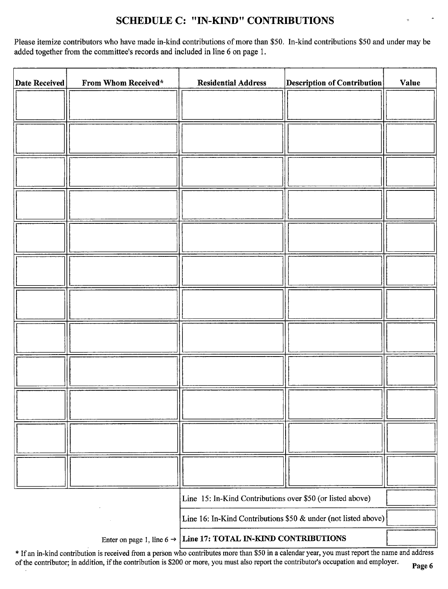## SCHEDULE C: "IN-KIND" CONTRIBUTIONS

Please itemize contributors who have made in-kind contributions of more than \$50. In-kind contributions \$50 and under may be added together from the committee's records and included in line 6 on page 1.

| <b>Date Received</b>                                                       | From Whom Received* | <b>Residential Address</b>                                     | <b>Description of Contribution</b> | Value |
|----------------------------------------------------------------------------|---------------------|----------------------------------------------------------------|------------------------------------|-------|
|                                                                            |                     |                                                                |                                    |       |
|                                                                            |                     |                                                                |                                    |       |
|                                                                            |                     |                                                                |                                    |       |
|                                                                            |                     |                                                                |                                    |       |
|                                                                            |                     |                                                                |                                    |       |
|                                                                            |                     |                                                                |                                    |       |
|                                                                            |                     |                                                                |                                    |       |
|                                                                            |                     |                                                                |                                    |       |
|                                                                            |                     |                                                                |                                    |       |
|                                                                            |                     |                                                                |                                    |       |
|                                                                            |                     |                                                                |                                    |       |
|                                                                            |                     |                                                                |                                    |       |
|                                                                            |                     |                                                                |                                    |       |
|                                                                            |                     |                                                                |                                    |       |
|                                                                            |                     |                                                                |                                    |       |
|                                                                            |                     |                                                                |                                    |       |
|                                                                            |                     |                                                                |                                    |       |
|                                                                            |                     |                                                                |                                    |       |
|                                                                            |                     |                                                                |                                    |       |
|                                                                            |                     |                                                                |                                    |       |
|                                                                            |                     |                                                                |                                    |       |
|                                                                            |                     |                                                                |                                    |       |
|                                                                            |                     |                                                                |                                    |       |
|                                                                            |                     |                                                                |                                    |       |
|                                                                            |                     | Line 15: In-Kind Contributions over \$50 (or listed above)     |                                    |       |
|                                                                            |                     | Line 16: In-Kind Contributions \$50 & under (not listed above) |                                    |       |
| Enter on page 1, line $6 \rightarrow$ Line 17: TOTAL IN-KIND CONTRIBUTIONS |                     |                                                                |                                    |       |

If an in-kind contribution is received from <sup>a</sup> person who contributes more than\$ <sup>50</sup> in <sup>a</sup> calendar year, you must report the name and address of the contributor; in addition, if the contribution is \$200 or more, you must also report the contributor's occupation and employer.